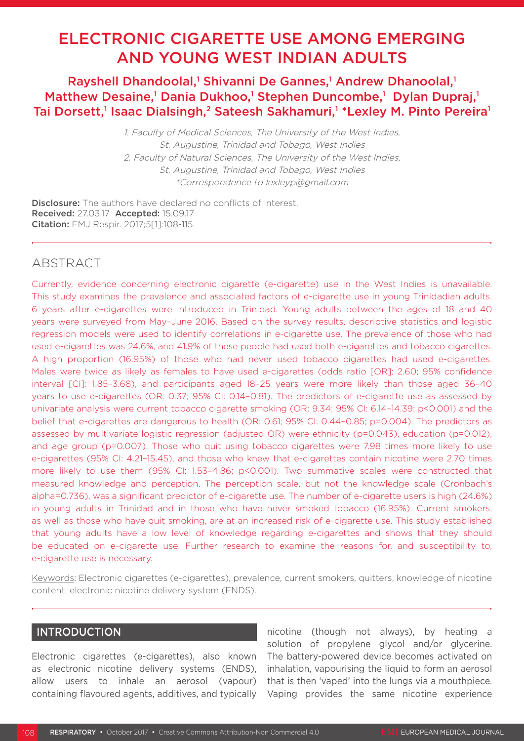# ELECTRONIC CIGARETTE USE AMONG EMERGING AND YOUNG WEST INDIAN ADULTS

Rayshell Dhandoolal,<sup>1</sup> Shivanni De Gannes,<sup>1</sup> Andrew Dhanoolal,<sup>1</sup> Matthew Desaine,<sup>1</sup> Dania Dukhoo,<sup>1</sup> Stephen Duncombe,<sup>1</sup> Dylan Dupraj,<sup>1</sup> Tai Dorsett,<sup>1</sup> Isaac Dialsingh,<sup>2</sup> Sateesh Sakhamuri,<sup>1</sup> \*Lexley M. Pinto Pereira<sup>1</sup>

> 1. Faculty of Medical Sciences, The University of the West Indies, St. Augustine, Trinidad and Tobago, West Indies 2. Faculty of Natural Sciences, The University of the West Indies, St. Augustine, Trinidad and Tobago, West Indies \*Correspondence to lexleyp@gmail.com

Disclosure: The authors have declared no conflicts of interest. Received: 27.03.17 Accepted: 15.09.17 Citation: EMJ Respir. 2017;5[1]:108-115.

## **ABSTRACT**

Currently, evidence concerning electronic cigarette (e-cigarette) use in the West Indies is unavailable. This study examines the prevalence and associated factors of e-cigarette use in young Trinidadian adults, 6 years after e-cigarettes were introduced in Trinidad. Young adults between the ages of 18 and 40 years were surveyed from May–June 2016. Based on the survey results, descriptive statistics and logistic regression models were used to identify correlations in e-cigarette use. The prevalence of those who had used e-cigarettes was 24.6%, and 41.9% of these people had used both e-cigarettes and tobacco cigarettes. A high proportion (16.95%) of those who had never used tobacco cigarettes had used e-cigarettes. Males were twice as likely as females to have used e-cigarettes (odds ratio [OR]: 2.60; 95% confidence interval [CI]: 1.85–3.68), and participants aged 18–25 years were more likely than those aged 36–40 years to use e-cigarettes (OR: 0.37; 95% CI: 0.14–0.81). The predictors of e-cigarette use as assessed by univariate analysis were current tobacco cigarette smoking (OR: 9.34; 95% CI: 6.14–14.39; p<0.001) and the belief that e-cigarettes are dangerous to health (OR: 0.61; 95% CI: 0.44–0.85; p=0.004). The predictors as assessed by multivariate logistic regression (adjusted OR) were ethnicity (p=0.043), education (p=0.012), and age group (p=0.007). Those who quit using tobacco cigarettes were 7.98 times more likely to use e-cigarettes (95% CI: 4.21–15.45), and those who knew that e-cigarettes contain nicotine were 2.70 times more likely to use them (95% CI: 1.53–4.86; p<0.001). Two summative scales were constructed that measured knowledge and perception. The perception scale, but not the knowledge scale (Cronbach's alpha=0.736), was a significant predictor of e-cigarette use. The number of e-cigarette users is high (24.6%) in young adults in Trinidad and in those who have never smoked tobacco (16.95%). Current smokers, as well as those who have quit smoking, are at an increased risk of e-cigarette use. This study established that young adults have a low level of knowledge regarding e-cigarettes and shows that they should be educated on e-cigarette use. Further research to examine the reasons for, and susceptibility to, e-cigarette use is necessary.

Keywords: Electronic cigarettes (e-cigarettes), prevalence, current smokers, quitters, knowledge of nicotine content, electronic nicotine delivery system (ENDS).

## INTRODUCTION

Electronic cigarettes (e-cigarettes), also known as electronic nicotine delivery systems (ENDS), allow users to inhale an aerosol (vapour) containing flavoured agents, additives, and typically

nicotine (though not always), by heating a solution of propylene glycol and/or glycerine. The battery-powered device becomes activated on inhalation, vapourising the liquid to form an aerosol that is then 'vaped' into the lungs via a mouthpiece. Vaping provides the same nicotine experience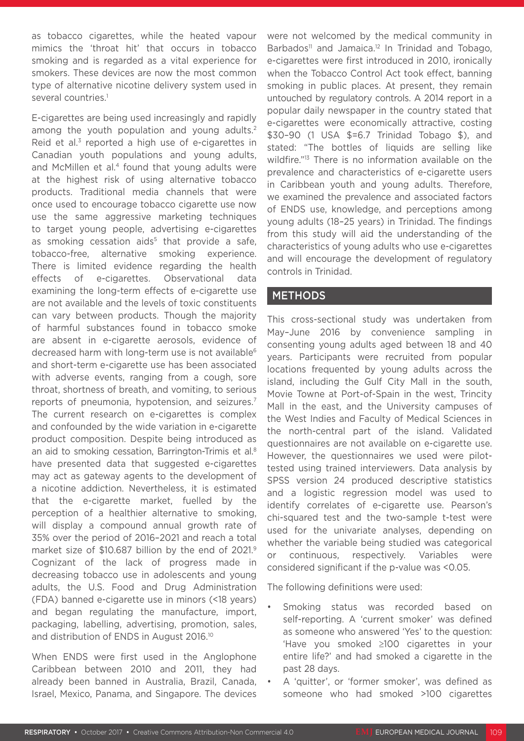as tobacco cigarettes, while the heated vapour mimics the 'throat hit' that occurs in tobacco smoking and is regarded as a vital experience for smokers. These devices are now the most common type of alternative nicotine delivery system used in several countries.<sup>1</sup>

E-cigarettes are being used increasingly and rapidly among the youth population and young adults.<sup>2</sup> Reid et al.<sup>3</sup> reported a high use of e-cigarettes in Canadian youth populations and young adults, and McMillen et al.<sup>4</sup> found that young adults were at the highest risk of using alternative tobacco products. Traditional media channels that were once used to encourage tobacco cigarette use now use the same aggressive marketing techniques to target young people, advertising e-cigarettes as smoking cessation aids<sup>5</sup> that provide a safe, tobacco-free, alternative smoking experience. There is limited evidence regarding the health effects of e-cigarettes. Observational data examining the long-term effects of e-cigarette use are not available and the levels of toxic constituents can vary between products. Though the majority of harmful substances found in tobacco smoke are absent in e-cigarette aerosols, evidence of decreased harm with long-term use is not available<sup>6</sup> and short-term e-cigarette use has been associated with adverse events, ranging from a cough, sore throat, shortness of breath, and vomiting, to serious reports of pneumonia, hypotension, and seizures.<sup>7</sup> The current research on e-cigarettes is complex and confounded by the wide variation in e-cigarette product composition. Despite being introduced as an aid to smoking cessation, Barrington-Trimis et al.<sup>8</sup> have presented data that suggested e-cigarettes may act as gateway agents to the development of a nicotine addiction. Nevertheless, it is estimated that the e-cigarette market, fuelled by the perception of a healthier alternative to smoking, will display a compound annual growth rate of 35% over the period of 2016–2021 and reach a total market size of \$10.687 billion by the end of 2021.<sup>9</sup> Cognizant of the lack of progress made in decreasing tobacco use in adolescents and young adults, the U.S. Food and Drug Administration (FDA) banned e-cigarette use in minors (<18 years) and began regulating the manufacture, import, packaging, labelling, advertising, promotion, sales, and distribution of ENDS in August 2016.10

When ENDS were first used in the Anglophone Caribbean between 2010 and 2011, they had already been banned in Australia, Brazil, Canada, Israel, Mexico, Panama, and Singapore. The devices

were not welcomed by the medical community in Barbados<sup>11</sup> and Jamaica.<sup>12</sup> In Trinidad and Tobago, e-cigarettes were first introduced in 2010, ironically when the Tobacco Control Act took effect, banning smoking in public places. At present, they remain untouched by regulatory controls. A 2014 report in a popular daily newspaper in the country stated that e-cigarettes were economically attractive, costing \$30–90 (1 USA \$=6.7 Trinidad Tobago \$), and stated: "The bottles of liquids are selling like wildfire."<sup>13</sup> There is no information available on the prevalence and characteristics of e-cigarette users in Caribbean youth and young adults. Therefore, we examined the prevalence and associated factors of ENDS use, knowledge, and perceptions among young adults (18–25 years) in Trinidad. The findings from this study will aid the understanding of the characteristics of young adults who use e-cigarettes and will encourage the development of regulatory controls in Trinidad.

## **METHODS**

This cross-sectional study was undertaken from May–June 2016 by convenience sampling in consenting young adults aged between 18 and 40 years. Participants were recruited from popular locations frequented by young adults across the island, including the Gulf City Mall in the south, Movie Towne at Port-of-Spain in the west, Trincity Mall in the east, and the University campuses of the West Indies and Faculty of Medical Sciences in the north-central part of the island. Validated questionnaires are not available on e-cigarette use. However, the questionnaires we used were pilottested using trained interviewers. Data analysis by SPSS version 24 produced descriptive statistics and a logistic regression model was used to identify correlates of e-cigarette use. Pearson's chi-squared test and the two-sample t-test were used for the univariate analyses, depending on whether the variable being studied was categorical or continuous, respectively. Variables were considered significant if the p-value was <0.05.

The following definitions were used:

- Smoking status was recorded based on self-reporting. A 'current smoker' was defined as someone who answered 'Yes' to the question: 'Have you smoked ≥100 cigarettes in your entire life?' and had smoked a cigarette in the past 28 days.
- A 'quitter', or 'former smoker', was defined as someone who had smoked >100 cigarettes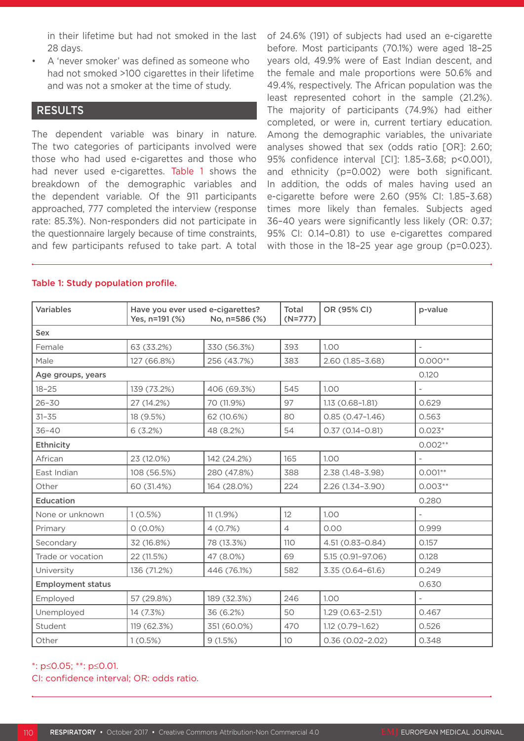in their lifetime but had not smoked in the last 28 days.

• A 'never smoker' was defined as someone who had not smoked >100 cigarettes in their lifetime and was not a smoker at the time of study.

### RESULTS

The dependent variable was binary in nature. The two categories of participants involved were those who had used e-cigarettes and those who had never used e-cigarettes. Table 1 shows the breakdown of the demographic variables and the dependent variable. Of the 911 participants approached, 777 completed the interview (response rate: 85.3%). Non-responders did not participate in the questionnaire largely because of time constraints, and few participants refused to take part. A total of 24.6% (191) of subjects had used an e-cigarette before. Most participants (70.1%) were aged 18–25 years old, 49.9% were of East Indian descent, and the female and male proportions were 50.6% and 49.4%, respectively. The African population was the least represented cohort in the sample (21.2%). The majority of participants (74.9%) had either completed, or were in, current tertiary education. Among the demographic variables, the univariate analyses showed that sex (odds ratio [OR]: 2.60; 95% confidence interval [CI]: 1.85–3.68; p<0.001), and ethnicity (p=0.002) were both significant. In addition, the odds of males having used an e-cigarette before were 2.60 (95% CI: 1.85–3.68) times more likely than females. Subjects aged 36–40 years were significantly less likely (OR: 0.37; 95% CI: 0.14–0.81) to use e-cigarettes compared with those in the 18–25 year age group (p=0.023).

#### Table 1: Study population profile.

| <b>Variables</b>         | Have you ever used e-cigarettes?<br>Yes, n=191 (%) | No, n=586 (%) | Total<br>$(N=777)$ | OR (95% CI)         | p-value                  |
|--------------------------|----------------------------------------------------|---------------|--------------------|---------------------|--------------------------|
| Sex                      |                                                    |               |                    |                     |                          |
| Female                   | 63 (33.2%)                                         | 330 (56.3%)   | 393                | 1.00                | $\overline{\phantom{0}}$ |
| Male                     | 127 (66.8%)                                        | 256 (43.7%)   | 383                | 2.60 (1.85-3.68)    | $0.000**$                |
| Age groups, years        |                                                    | 0.120         |                    |                     |                          |
| $18 - 25$                | 139 (73.2%)                                        | 406 (69.3%)   | 545                | 1.00                |                          |
| $26 - 30$                | 27 (14.2%)                                         | 70 (11.9%)    | 97                 | $1.13(0.68 - 1.81)$ | 0.629                    |
| $31 - 35$                | 18 (9.5%)                                          | 62 (10.6%)    | 80                 | $0.85(0.47 - 1.46)$ | 0.563                    |
| $36 - 40$                | 6(3.2%)                                            | 48 (8.2%)     | 54                 | $0.37(0.14 - 0.81)$ | $0.023*$                 |
| <b>Ethnicity</b>         | $0.002**$                                          |               |                    |                     |                          |
| African                  | 23 (12.0%)                                         | 142 (24.2%)   | 165                | 1.00 <sub>1</sub>   |                          |
| East Indian              | 108 (56.5%)                                        | 280 (47.8%)   | 388                | 2.38 (1.48-3.98)    | $0.001**$                |
| Other                    | 60 (31.4%)                                         | 164 (28.0%)   | 224                | 2.26 (1.34-3.90)    | $0.003**$                |
| <b>Education</b>         |                                                    | 0.280         |                    |                     |                          |
| None or unknown          | 1(0.5%)                                            | 11(1.9%)      | $12 \overline{ }$  | 1.00                |                          |
| Primary                  | $0(0.0\%)$                                         | 4(0.7%)       | $\overline{4}$     | 0.00                | 0.999                    |
| Secondary                | 32 (16.8%)                                         | 78 (13.3%)    | 110                | 4.51 (0.83-0.84)    | 0.157                    |
| Trade or vocation        | 22 (11.5%)                                         | 47 (8.0%)     | 69                 | 5.15 (0.91-97.06)   | 0.128                    |
| University               | 136 (71.2%)                                        | 446 (76.1%)   | 582                | $3.35(0.64 - 61.6)$ | 0.249                    |
| <b>Employment status</b> | 0.630                                              |               |                    |                     |                          |
| Employed                 | 57 (29.8%)                                         | 189 (32.3%)   | 246                | 1.00                |                          |
| Unemployed               | 14 (7.3%)                                          | 36 (6.2%)     | 50                 | $1.29(0.63 - 2.51)$ | 0.467                    |
| Student                  | 119 (62.3%)                                        | 351 (60.0%)   | 470                | $1.12(0.79 - 1.62)$ | 0.526                    |
| Other                    | 1(0.5%)                                            | 9(1.5%)       | 10                 | $0.36(0.02 - 2.02)$ | 0.348                    |

#### \*: p≤0.05; \*\*: p≤0.01.

CI: confidence interval; OR: odds ratio.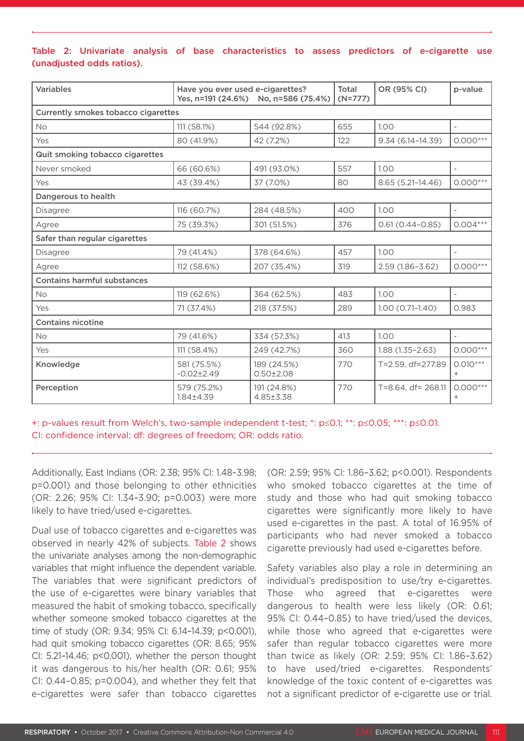## Table 2: Univariate analysis of base characteristics to assess predictors of e-cigarette use (unadjusted odds ratios).

| <b>Variables</b>                    | Have you ever used e-cigarettes? | Yes, n=191 (24.6%) No, n=586 (75.4%) | Total<br>$(N=777)$ | OR (95% CI)          | p-value                  |  |  |  |
|-------------------------------------|----------------------------------|--------------------------------------|--------------------|----------------------|--------------------------|--|--|--|
| Currently smokes tobacco cigarettes |                                  |                                      |                    |                      |                          |  |  |  |
| <b>No</b>                           | 111 (58.1%)                      | 544 (92.8%)                          | 655                | 1.00                 |                          |  |  |  |
| Yes                                 | 80 (41.9%)                       | 42 (7.2%)                            | 122                | $9.34(6.14 - 14.39)$ | $0.000***$               |  |  |  |
| Quit smoking tobacco cigarettes     |                                  |                                      |                    |                      |                          |  |  |  |
| Never smoked                        | 66 (60.6%)                       | 491 (93.0%)                          | 557                | 1.00                 | $\overline{\phantom{a}}$ |  |  |  |
| Yes                                 | 43 (39.4%)                       | 37 (7.0%)                            | 80                 | 8.65 (5.21-14.46)    | $0.000***$               |  |  |  |
| Dangerous to health                 |                                  |                                      |                    |                      |                          |  |  |  |
| <b>Disagree</b>                     | 116 (60.7%)                      | 284 (48.5%)                          | 400                | 1.00                 | $\overline{\phantom{a}}$ |  |  |  |
| Agree                               | 75 (39.3%)                       | 301 (51.5%)                          | 376                | $0.61(0.44 - 0.85)$  | $0.004***$               |  |  |  |
| Safer than regular cigarettes       |                                  |                                      |                    |                      |                          |  |  |  |
| <b>Disagree</b>                     | 79 (41.4%)                       | 378 (64.6%)                          | 457                | 1.00                 |                          |  |  |  |
| Agree                               | 112 (58.6%)                      | 207 (35.4%)                          | 319                | $2.59(1.86 - 3.62)$  | $0.000***$               |  |  |  |
| <b>Contains harmful substances</b>  |                                  |                                      |                    |                      |                          |  |  |  |
| <b>No</b>                           | 119 (62.6%)                      | 364 (62.5%)                          | 483                | 1.00                 | $\overline{\phantom{a}}$ |  |  |  |
| Yes                                 | 71 (37.4%)                       | 218 (37.5%)                          | 289                | $1.00(0.71 - 1.40)$  | 0.983                    |  |  |  |
| <b>Contains nicotine</b>            |                                  |                                      |                    |                      |                          |  |  |  |
| <b>No</b>                           | 79 (41.6%)                       | 334 (57.3%)                          | 413                | 1.00                 |                          |  |  |  |
| Yes                                 | 111 (58.4%)                      | 249 (42.7%)                          | 360                | $1.88(1.35 - 2.63)$  | $0.000***$               |  |  |  |
| Knowledge                           | 581 (75.5%)<br>$-0.02 \pm 2.49$  | 189 (24.5%)<br>$0.50 \pm 2.08$       | 770                | T=2.59, df=277.89    | $0.010***$<br>$^{+}$     |  |  |  |
| Perception                          | 579 (75.2%)<br>1.84±4.39         | 191 (24.8%)<br>4.85±3.38             | 770                | T=8.64, df= 268.11   | $0.000***$<br>$^{+}$     |  |  |  |

+: p-values result from Welch's, two-sample independent t-test; \*: p≤0.1; \*\*: p≤0.05; \*\*\*: p≤0.01. CI: confidence interval; df: degrees of freedom; OR: odds ratio.

Additionally, East Indians (OR: 2.38; 95% CI: 1.48–3.98; p=0.001) and those belonging to other ethnicities (OR: 2.26; 95% CI: 1.34–3.90; p=0.003) were more likely to have tried/used e-cigarettes.

Dual use of tobacco cigarettes and e-cigarettes was observed in nearly 42% of subjects. Table 2 shows the univariate analyses among the non-demographic variables that might influence the dependent variable. The variables that were significant predictors of the use of e-cigarettes were binary variables that measured the habit of smoking tobacco, specifically whether someone smoked tobacco cigarettes at the time of study (OR: 9.34; 95% CI: 6.14–14.39; p<0.001), had quit smoking tobacco cigarettes (OR: 8.65; 95% CI: 5.21–14.46; p<0.001), whether the person thought it was dangerous to his/her health (OR: 0.61; 95% CI: 0.44–0.85; p=0.004), and whether they felt that e-cigarettes were safer than tobacco cigarettes

(OR: 2.59; 95% CI: 1.86–3.62; p<0.001). Respondents who smoked tobacco cigarettes at the time of study and those who had quit smoking tobacco cigarettes were significantly more likely to have used e-cigarettes in the past. A total of 16.95% of participants who had never smoked a tobacco cigarette previously had used e-cigarettes before.

Safety variables also play a role in determining an individual's predisposition to use/try e-cigarettes. Those who agreed that e-cigarettes were dangerous to health were less likely (OR: 0.61; 95% CI: 0.44–0.85) to have tried/used the devices, while those who agreed that e-cigarettes were safer than regular tobacco cigarettes were more than twice as likely (OR: 2.59; 95% CI: 1.86–3.62) to have used/tried e-cigarettes. Respondents' knowledge of the toxic content of e-cigarettes was not a significant predictor of e-cigarette use or trial.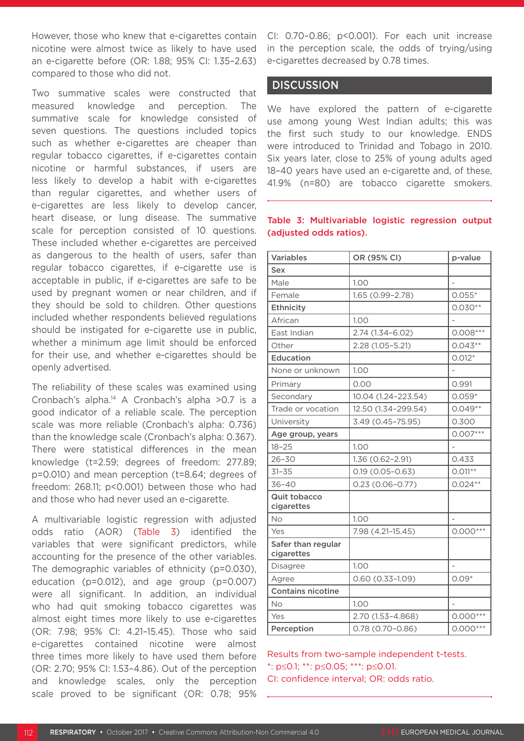However, those who knew that e-cigarettes contain nicotine were almost twice as likely to have used an e-cigarette before (OR: 1.88; 95% CI: 1.35–2.63) compared to those who did not.

Two summative scales were constructed that measured knowledge and perception. The summative scale for knowledge consisted of seven questions. The questions included topics such as whether e-cigarettes are cheaper than regular tobacco cigarettes, if e-cigarettes contain nicotine or harmful substances, if users are less likely to develop a habit with e-cigarettes than regular cigarettes, and whether users of e-cigarettes are less likely to develop cancer, heart disease, or lung disease. The summative scale for perception consisted of 10 questions. These included whether e-cigarettes are perceived as dangerous to the health of users, safer than regular tobacco cigarettes, if e-cigarette use is acceptable in public, if e-cigarettes are safe to be used by pregnant women or near children, and if they should be sold to children. Other questions included whether respondents believed regulations should be instigated for e-cigarette use in public, whether a minimum age limit should be enforced for their use, and whether e-cigarettes should be openly advertised.

The reliability of these scales was examined using Cronbach's alpha. $14$  A Cronbach's alpha >0.7 is a good indicator of a reliable scale. The perception scale was more reliable (Cronbach's alpha: 0.736) than the knowledge scale (Cronbach's alpha: 0.367). There were statistical differences in the mean knowledge (t=2.59; degrees of freedom: 277.89; p=0.010) and mean perception (t=8.64; degrees of freedom: 268.11; p<0.001) between those who had and those who had never used an e-cigarette.

A multivariable logistic regression with adjusted odds ratio (AOR) (Table 3) identified the variables that were significant predictors, while accounting for the presence of the other variables. The demographic variables of ethnicity (p=0.030), education (p=0.012), and age group (p=0.007) were all significant. In addition, an individual who had quit smoking tobacco cigarettes was almost eight times more likely to use e-cigarettes (OR: 7.98; 95% CI: 4.21–15.45). Those who said e-cigarettes contained nicotine were almost three times more likely to have used them before (OR: 2.70; 95% CI: 1.53–4.86). Out of the perception and knowledge scales, only the perception scale proved to be significant (OR: 0.78; 95% CI: 0.70–0.86; p<0.001). For each unit increase in the perception scale, the odds of trying/using e-cigarettes decreased by 0.78 times.

## **DISCUSSION**

We have explored the pattern of e-cigarette use among young West Indian adults; this was the first such study to our knowledge. ENDS were introduced to Trinidad and Tobago in 2010. Six years later, close to 25% of young adults aged 18–40 years have used an e-cigarette and, of these, 41.9% (n=80) are tobacco cigarette smokers.

| <b>Variables</b>                  | OR (95% CI)         | p-value        |  |
|-----------------------------------|---------------------|----------------|--|
| <b>Sex</b>                        |                     |                |  |
| Male                              | 1.00                |                |  |
| Female                            | 1.65 (0.99-2.78)    | $0.055*$       |  |
| <b>Ethnicity</b>                  |                     | $0.030**$      |  |
| African                           | 1.00                |                |  |
| East Indian                       | 2.74 (1.34-6.02)    | $0.008***$     |  |
| Other                             | 2.28 (1.05-5.21)    | $0.043**$      |  |
| <b>Education</b>                  |                     | $0.012*$       |  |
| None or unknown                   | 1.00                |                |  |
| Primary                           | 0.00                | 0.991          |  |
| Secondary                         | 10.04 (1.24-223.54) | $0.059*$       |  |
| Trade or vocation                 | 12.50 (1.34-299.54) | $0.049**$      |  |
| University                        | 3.49 (0.45-75.95)   | 0.300          |  |
| Age group, years                  |                     | $0.007***$     |  |
| $18 - 25$                         | 1.00                |                |  |
| $26 - 30$                         | 1.36 (0.62-2.91)    | 0.433          |  |
| $31 - 35$                         | $0.19(0.05 - 0.63)$ | $0.011**$      |  |
| $36 - 40$                         | $0.23(0.06 - 0.77)$ | $0.024**$      |  |
| <b>Quit tobacco</b><br>cigarettes |                     |                |  |
| No                                | 1.00                | $\overline{a}$ |  |
| Yes                               | 7.98 (4.21-15.45)   | $0.000***$     |  |
| Safer than regular<br>cigarettes  |                     |                |  |
| Disagree                          | 1.00                |                |  |
| Agree                             | $0.60(0.33 - 1.09)$ | $0.09*$        |  |
| <b>Contains nicotine</b>          |                     |                |  |
| <b>No</b>                         | 1.00                |                |  |
| Yes                               | 2.70 (1.53-4.868)   | $0.000***$     |  |
| Perception                        | $0.78(0.70 - 0.86)$ | $0.000***$     |  |

#### Table 3: Multivariable logistic regression output (adjusted odds ratios).

Results from two-sample independent t-tests. \*: p≤0.1; \*\*: p≤0.05; \*\*\*: p≤0.01. CI: confidence interval; OR: odds ratio.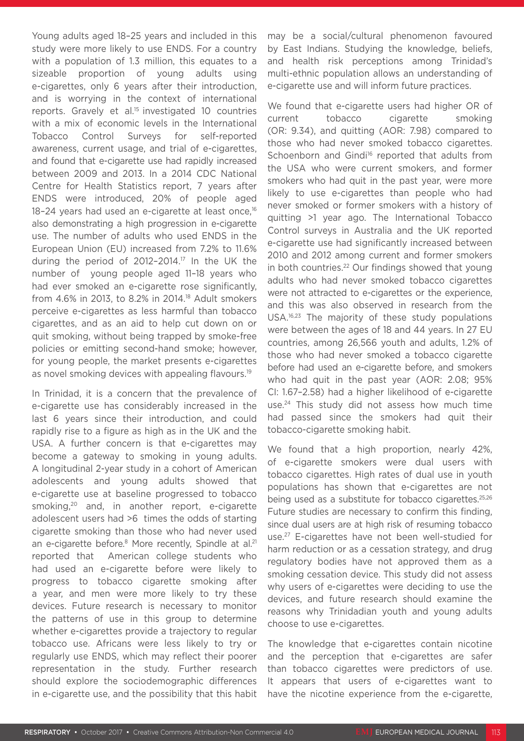Young adults aged 18–25 years and included in this study were more likely to use ENDS. For a country with a population of 1.3 million, this equates to a sizeable proportion of young adults using e-cigarettes, only 6 years after their introduction, and is worrying in the context of international reports. Gravely et al.<sup>15</sup> investigated 10 countries with a mix of economic levels in the International Tobacco Control Surveys for self-reported awareness, current usage, and trial of e-cigarettes, and found that e-cigarette use had rapidly increased between 2009 and 2013. In a 2014 CDC National Centre for Health Statistics report, 7 years after ENDS were introduced, 20% of people aged 18–24 years had used an e-cigarette at least once, $16$ also demonstrating a high progression in e-cigarette use. The number of adults who used ENDS in the European Union (EU) increased from 7.2% to 11.6% during the period of 2012–2014.17 In the UK the number of young people aged 11–18 years who had ever smoked an e-cigarette rose significantly, from 4.6% in 2013, to 8.2% in 2014.18 Adult smokers perceive e-cigarettes as less harmful than tobacco cigarettes, and as an aid to help cut down on or quit smoking, without being trapped by smoke-free policies or emitting second-hand smoke; however, for young people, the market presents e-cigarettes as novel smoking devices with appealing flavours.<sup>19</sup>

In Trinidad, it is a concern that the prevalence of e-cigarette use has considerably increased in the last 6 years since their introduction, and could rapidly rise to a figure as high as in the UK and the USA. A further concern is that e-cigarettes may become a gateway to smoking in young adults. A longitudinal 2-year study in a cohort of American adolescents and young adults showed that e-cigarette use at baseline progressed to tobacco smoking,20 and, in another report, e-cigarette adolescent users had >6 times the odds of starting cigarette smoking than those who had never used an e-cigarette before.<sup>8</sup> More recently, Spindle at al.<sup>21</sup> reported that American college students who had used an e-cigarette before were likely to progress to tobacco cigarette smoking after a year, and men were more likely to try these devices. Future research is necessary to monitor the patterns of use in this group to determine whether e-cigarettes provide a trajectory to regular tobacco use. Africans were less likely to try or regularly use ENDS, which may reflect their poorer representation in the study. Further research should explore the sociodemographic differences in e-cigarette use, and the possibility that this habit

may be a social/cultural phenomenon favoured by East Indians. Studying the knowledge, beliefs, and health risk perceptions among Trinidad's multi-ethnic population allows an understanding of e-cigarette use and will inform future practices.

We found that e-cigarette users had higher OR of current tobacco cigarette smoking (OR: 9.34), and quitting (AOR: 7.98) compared to those who had never smoked tobacco cigarettes. Schoenborn and Gindi<sup>16</sup> reported that adults from the USA who were current smokers, and former smokers who had quit in the past year, were more likely to use e-cigarettes than people who had never smoked or former smokers with a history of quitting >1 year ago. The International Tobacco Control surveys in Australia and the UK reported e-cigarette use had significantly increased between 2010 and 2012 among current and former smokers in both countries.<sup>22</sup> Our findings showed that young adults who had never smoked tobacco cigarettes were not attracted to e-cigarettes or the experience, and this was also observed in research from the USA.16,23 The majority of these study populations were between the ages of 18 and 44 years. In 27 EU countries, among 26,566 youth and adults, 1.2% of those who had never smoked a tobacco cigarette before had used an e-cigarette before, and smokers who had quit in the past year (AOR: 2.08; 95% CI: 1.67–2.58) had a higher likelihood of e-cigarette use.24 This study did not assess how much time had passed since the smokers had quit their tobacco-cigarette smoking habit.

We found that a high proportion, nearly 42%. of e-cigarette smokers were dual users with tobacco cigarettes. High rates of dual use in youth populations has shown that e-cigarettes are not being used as a substitute for tobacco cigarettes.<sup>25,26</sup> Future studies are necessary to confirm this finding, since dual users are at high risk of resuming tobacco use.27 E-cigarettes have not been well-studied for harm reduction or as a cessation strategy, and drug regulatory bodies have not approved them as a smoking cessation device. This study did not assess why users of e-cigarettes were deciding to use the devices, and future research should examine the reasons why Trinidadian youth and young adults choose to use e-cigarettes.

The knowledge that e-cigarettes contain nicotine and the perception that e-cigarettes are safer than tobacco cigarettes were predictors of use. It appears that users of e-cigarettes want to have the nicotine experience from the e-cigarette,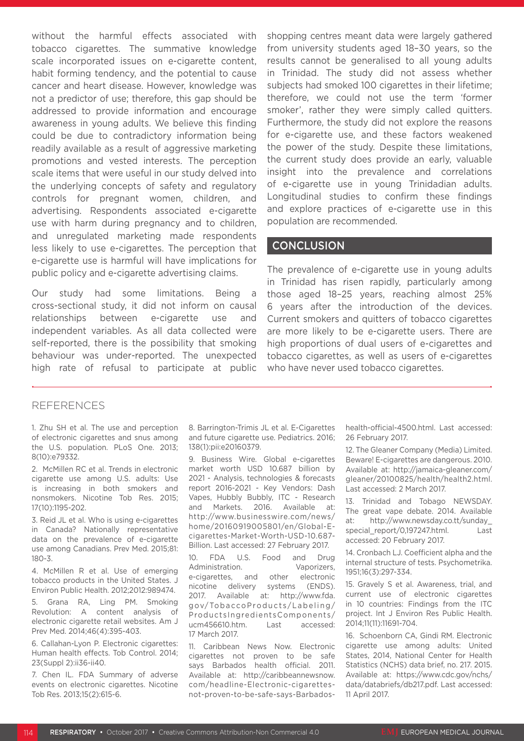without the harmful effects associated with tobacco cigarettes. The summative knowledge scale incorporated issues on e-cigarette content, habit forming tendency, and the potential to cause cancer and heart disease. However, knowledge was not a predictor of use; therefore, this gap should be addressed to provide information and encourage awareness in young adults. We believe this finding could be due to contradictory information being readily available as a result of aggressive marketing promotions and vested interests. The perception scale items that were useful in our study delved into the underlying concepts of safety and regulatory controls for pregnant women, children, and advertising. Respondents associated e-cigarette use with harm during pregnancy and to children, and unregulated marketing made respondents less likely to use e-cigarettes. The perception that e-cigarette use is harmful will have implications for public policy and e-cigarette advertising claims.

Our study had some limitations. Being a cross-sectional study, it did not inform on causal relationships between e-cigarette use and independent variables. As all data collected were self-reported, there is the possibility that smoking behaviour was under-reported. The unexpected high rate of refusal to participate at public

shopping centres meant data were largely gathered from university students aged 18–30 years, so the results cannot be generalised to all young adults in Trinidad. The study did not assess whether subjects had smoked 100 cigarettes in their lifetime; therefore, we could not use the term 'former smoker', rather they were simply called quitters. Furthermore, the study did not explore the reasons for e-cigarette use, and these factors weakened the power of the study. Despite these limitations, the current study does provide an early, valuable insight into the prevalence and correlations of e-cigarette use in young Trinidadian adults. Longitudinal studies to confirm these findings and explore practices of e-cigarette use in this population are recommended.

## **CONCLUSION**

The prevalence of e-cigarette use in young adults in Trinidad has risen rapidly, particularly among those aged 18–25 years, reaching almost 25% 6 years after the introduction of the devices. Current smokers and quitters of tobacco cigarettes are more likely to be e-cigarette users. There are high proportions of dual users of e-cigarettes and tobacco cigarettes, as well as users of e-cigarettes who have never used tobacco cigarettes.

#### REFERENCES

1. Zhu SH et al. The use and perception of electronic cigarettes and snus among the U.S. population. PLoS One. 2013; 8(10):e79332.

2. McMillen RC et al. Trends in electronic cigarette use among U.S. adults: Use is increasing in both smokers and nonsmokers. Nicotine Tob Res. 2015; 17(10):1195-202.

3. Reid JL et al. Who is using e-cigarettes in Canada? Nationally representative data on the prevalence of e-cigarette use among Canadians. Prev Med. 2015;81: 180-3.

4. McMillen R et al. Use of emerging tobacco products in the United States. J Environ Public Health. 2012;2012:989474.

5. Grana RA, Ling PM. Smoking Revolution: A content analysis of electronic cigarette retail websites. Am J Prev Med. 2014;46(4):395-403.

6. Callahan-Lyon P. Electronic cigarettes: Human health effects. Tob Control. 2014; 23(Suppl 2):ii36-ii40.

7. Chen IL. FDA Summary of adverse events on electronic cigarettes. Nicotine Tob Res. 2013;15(2):615-6.

8. Barrington-Trimis JL et al. E-Cigarettes and future cigarette use. Pediatrics. 2016; 138(1):pii:e20160379.

9. Business Wire. Global e-cigarettes market worth USD 10.687 billion by 2021 - Analysis, technologies & forecasts report 2016-2021 - Key Vendors: Dash Vapes, Hubbly Bubbly, ITC - Research and Markets. 2016. Available at: http://www.businesswire.com/news/ home/20160919005801/en/Global-Ecigarettes-Market-Worth-USD-10.687- Billion. Last accessed: 27 February 2017.

10. FDA U.S. Food and Drug Administration. Vaporizers, e-cigarettes, and other electronic nicotine delivery systems (ENDS). 2017. Available at: http://www.fda. gov/TobaccoProducts/Labeling/ ProductsIngredientsComponents/ ucm456610.htm. Last accessed: 17 March 2017.

11. Caribbean News Now. Electronic cigarettes not proven to be safe says Barbados health official. 2011. Available at: http://caribbeannewsnow. com/headline-Electronic-cigarettesnot-proven-to-be-safe-says-Barbadoshealth-official-4500.html. Last accessed: 26 February 2017.

12. The Gleaner Company (Media) Limited. Beware! E-cigarettes are dangerous. 2010. Available at: http://jamaica-gleaner.com/ gleaner/20100825/health/health2.html. Last accessed: 2 March 2017.

13. Trinidad and Tobago NEWSDAY. The great vape debate. 2014. Available at: http://www.newsday.co.tt/sunday\_ special report/0,197247.html. Last accessed: 20 February 2017.

14. Cronbach LJ. Coefficient alpha and the internal structure of tests. Psychometrika. 1951;16(3):297-334.

15. Gravely S et al. Awareness, trial, and current use of electronic cigarettes in 10 countries: Findings from the ITC project. Int J Environ Res Public Health. 2014;11(11):11691-704.

16. Schoenborn CA, Gindi RM. Electronic cigarette use among adults: United States, 2014, National Center for Health Statistics (NCHS) data brief, no. 217. 2015. Available at: https://www.cdc.gov/nchs/ data/databriefs/db217.pdf. Last accessed: 11 April 2017.